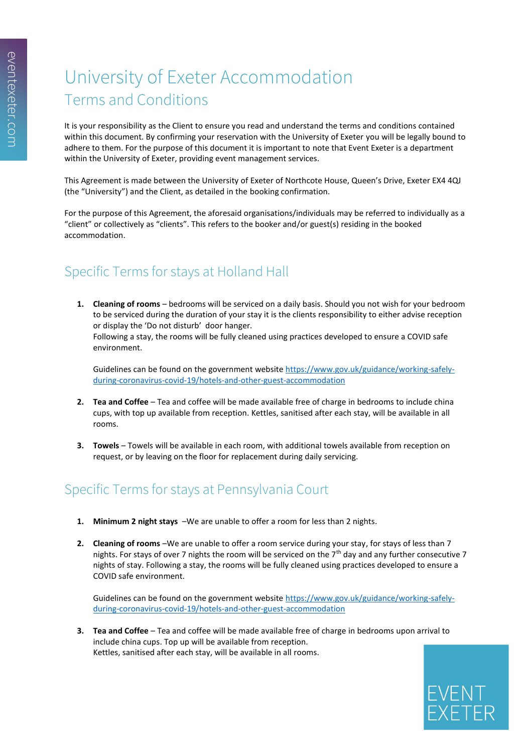# University of Exeter Accommodation Terms and Conditions

It is your responsibility as the Client to ensure you read and understand the terms and conditions contained within this document. By confirming your reservation with the University of Exeter you will be legally bound to adhere to them. For the purpose of this document it is important to note that Event Exeter is a department within the University of Exeter, providing event management services.

This Agreement is made between the University of Exeter of Northcote House, Queen's Drive, Exeter EX4 4QJ (the "University") and the Client, as detailed in the booking confirmation.

For the purpose of this Agreement, the aforesaid organisations/individuals may be referred to individually as a "client" or collectively as "clients". This refers to the booker and/or guest(s) residing in the booked accommodation.

## Specific Terms for stays at Holland Hall

**1. Cleaning of rooms** – bedrooms will be serviced on a daily basis. Should you not wish for your bedroom to be serviced during the duration of your stay it is the clients responsibility to either advise reception or display the 'Do not disturb' door hanger. Following a stay, the rooms will be fully cleaned using practices developed to ensure a COVID safe

environment.

Guidelines can be found on the government websit[e https://www.gov.uk/guidance/working-safely](https://www.gov.uk/guidance/working-safely-during-coronavirus-covid-19/hotels-and-other-guest-accommodation)[during-coronavirus-covid-19/hotels-and-other-guest-accommodation](https://www.gov.uk/guidance/working-safely-during-coronavirus-covid-19/hotels-and-other-guest-accommodation)

- **2. Tea and Coffee** Tea and coffee will be made available free of charge in bedrooms to include china cups, with top up available from reception. Kettles, sanitised after each stay, will be available in all rooms.
- **3. Towels** Towels will be available in each room, with additional towels available from reception on request, or by leaving on the floor for replacement during daily servicing.

### Specific Terms for stays at Pennsylvania Court

- **1. Minimum 2 night stays** –We are unable to offer a room for less than 2 nights.
- **2. Cleaning of rooms** –We are unable to offer a room service during your stay, for stays of less than 7 nights. For stays of over 7 nights the room will be serviced on the  $7<sup>th</sup>$  day and any further consecutive 7 nights of stay. Following a stay, the rooms will be fully cleaned using practices developed to ensure a COVID safe environment.

Guidelines can be found on the government website [https://www.gov.uk/guidance/working-safely](https://www.gov.uk/guidance/working-safely-during-coronavirus-covid-19/hotels-and-other-guest-accommodation)[during-coronavirus-covid-19/hotels-and-other-guest-accommodation](https://www.gov.uk/guidance/working-safely-during-coronavirus-covid-19/hotels-and-other-guest-accommodation)

**3. Tea and Coffee** – Tea and coffee will be made available free of charge in bedrooms upon arrival to include china cups. Top up will be available from reception. Kettles, sanitised after each stay, will be available in all rooms.

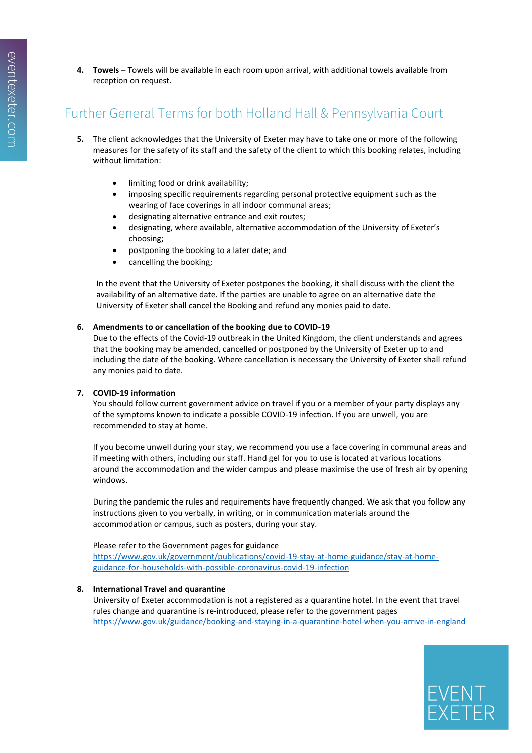**4. Towels** – Towels will be available in each room upon arrival, with additional towels available from reception on request.

### Further General Terms for both Holland Hall & Pennsylvania Court

- **5.** The client acknowledges that the University of Exeter may have to take one or more of the following measures for the safety of its staff and the safety of the client to which this booking relates, including without limitation:
	- limiting food or drink availability;
	- imposing specific requirements regarding personal protective equipment such as the wearing of face coverings in all indoor communal areas;
	- designating alternative entrance and exit routes;
	- designating, where available, alternative accommodation of the University of Exeter's choosing;
	- postponing the booking to a later date; and
	- cancelling the booking;

In the event that the University of Exeter postpones the booking, it shall discuss with the client the availability of an alternative date. If the parties are unable to agree on an alternative date the University of Exeter shall cancel the Booking and refund any monies paid to date.

#### **6. Amendments to or cancellation of the booking due to COVID-19**

Due to the effects of the Covid-19 outbreak in the United Kingdom, the client understands and agrees that the booking may be amended, cancelled or postponed by the University of Exeter up to and including the date of the booking. Where cancellation is necessary the University of Exeter shall refund any monies paid to date.

#### **7. COVID-19 information**

You should follow current government advice on travel if you or a member of your party displays any of the symptoms known to indicate a possible COVID-19 infection. If you are unwell, you are recommended to stay at home.

If you become unwell during your stay, we recommend you use a face covering in communal areas and if meeting with others, including our staff. Hand gel for you to use is located at various locations around the accommodation and the wider campus and please maximise the use of fresh air by opening windows.

During the pandemic the rules and requirements have frequently changed. We ask that you follow any instructions given to you verbally, in writing, or in communication materials around the accommodation or campus, such as posters, during your stay.

#### Please refer to the Government pages for guidance

[https://www.gov.uk/government/publications/covid-19-stay-at-home-guidance/stay-at-home](https://www.gov.uk/government/publications/covid-19-stay-at-home-guidance/stay-at-home-guidance-for-households-with-possible-coronavirus-covid-19-infection)[guidance-for-households-with-possible-coronavirus-covid-19-infection](https://www.gov.uk/government/publications/covid-19-stay-at-home-guidance/stay-at-home-guidance-for-households-with-possible-coronavirus-covid-19-infection)

#### **8. International Travel and quarantine**

University of Exeter accommodation is not a registered as a quarantine hotel. In the event that travel rules change and quarantine is re-introduced, please refer to the government pages <https://www.gov.uk/guidance/booking-and-staying-in-a-quarantine-hotel-when-you-arrive-in-england>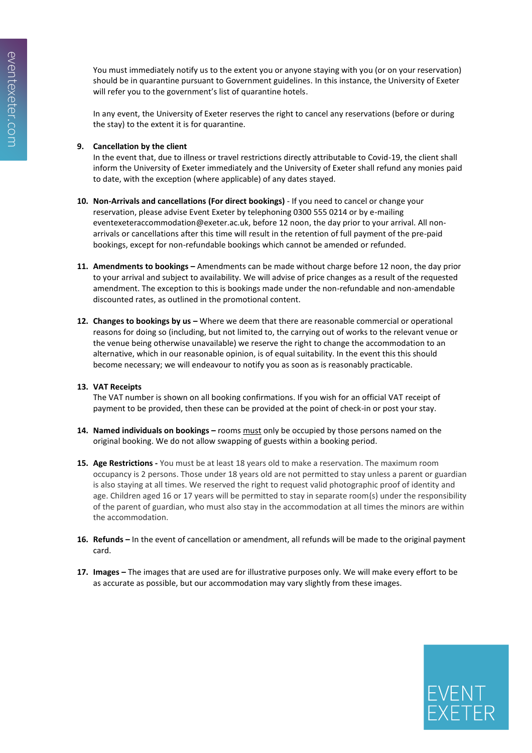You must immediately notify us to the extent you or anyone staying with you (or on your reservation) should be in quarantine pursuant to Government guidelines. In this instance, the University of Exeter will refer you to the government's list of quarantine hotels.

In any event, the University of Exeter reserves the right to cancel any reservations (before or during the stay) to the extent it is for quarantine.

#### **9. Cancellation by the client**

In the event that, due to illness or travel restrictions directly attributable to Covid-19, the client shall inform the University of Exeter immediately and the University of Exeter shall refund any monies paid to date, with the exception (where applicable) of any dates stayed.

- **10. Non-Arrivals and cancellations (For direct bookings)** If you need to cancel or change your reservation, please advise Event Exeter by telephoning 0300 555 0214 or by e-mailing eventexeteraccommodation@exeter.ac.uk, before 12 noon, the day prior to your arrival. All nonarrivals or cancellations after this time will result in the retention of full payment of the pre-paid bookings, except for non-refundable bookings which cannot be amended or refunded.
- **11. Amendments to bookings –** Amendments can be made without charge before 12 noon, the day prior to your arrival and subject to availability. We will advise of price changes as a result of the requested amendment. The exception to this is bookings made under the non-refundable and non-amendable discounted rates, as outlined in the promotional content.
- **12. Changes to bookings by us Where we deem that there are reasonable commercial or operational** reasons for doing so (including, but not limited to, the carrying out of works to the relevant venue or the venue being otherwise unavailable) we reserve the right to change the accommodation to an alternative, which in our reasonable opinion, is of equal suitability. In the event this this should become necessary; we will endeavour to notify you as soon as is reasonably practicable.

#### **13. VAT Receipts**

The VAT number is shown on all booking confirmations. If you wish for an official VAT receipt of payment to be provided, then these can be provided at the point of check-in or post your stay.

- **14. Named individuals on bookings –** rooms must only be occupied by those persons named on the original booking. We do not allow swapping of guests within a booking period.
- **15. Age Restrictions -** You must be at least 18 years old to make a reservation. The maximum room occupancy is 2 persons. Those under 18 years old are not permitted to stay unless a parent or guardian is also staying at all times. We reserved the right to request valid photographic proof of identity and age. Children aged 16 or 17 years will be permitted to stay in separate room(s) under the responsibility of the parent of guardian, who must also stay in the accommodation at all times the minors are within the accommodation.
- **16. Refunds –** In the event of cancellation or amendment, all refunds will be made to the original payment card.
- **17. Images –** The images that are used are for illustrative purposes only. We will make every effort to be as accurate as possible, but our accommodation may vary slightly from these images.

EVENT<br>EXETER